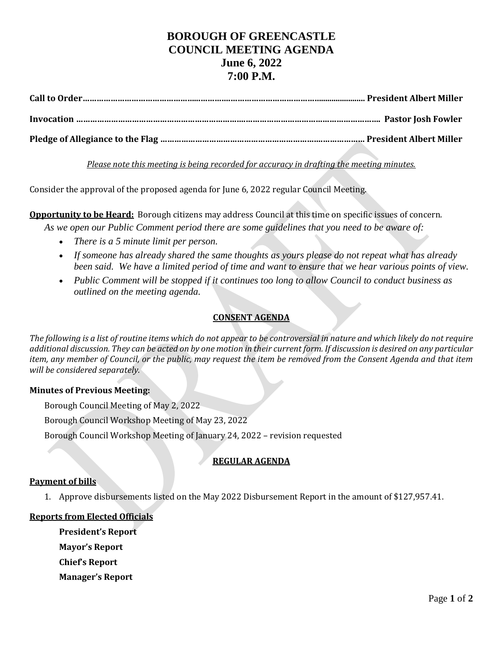# **BOROUGH OF GREENCASTLE COUNCIL MEETING AGENDA June 6, 2022 7:00 P.M.**

**Call to Order…………………………………………...………….…………………………………..................... President Albert Miller Invocation ……………………………………………………………….…………………………………………………. Pastor Josh Fowler Pledge of Allegiance to the Flag …………………………………………………………….……………… President Albert Miller**

*Please note this meeting is being recorded for accuracy in drafting the meeting minutes.*

Consider the approval of the proposed agenda for June 6, 2022 regular Council Meeting.

**Opportunity to be Heard:** Borough citizens may address Council at this time on specific issues of concern.

*As we open our Public Comment period there are some guidelines that you need to be aware of:*

- *There is a 5 minute limit per person.*
- *If someone has already shared the same thoughts as yours please do not repeat what has already been said. We have a limited period of time and want to ensure that we hear various points of view.*
- *Public Comment will be stopped if it continues too long to allow Council to conduct business as outlined on the meeting agenda.*

## **CONSENT AGENDA**

*The following is a list of routine items which do not appear to be controversial in nature and which likely do not require additional discussion. They can be acted on by one motion in their current form. If discussion is desired on any particular item, any member of Council, or the public, may request the item be removed from the Consent Agenda and that item will be considered separately.*

## **Minutes of Previous Meeting:**

Borough Council Meeting of May 2, 2022

Borough Council Workshop Meeting of May 23, 2022

Borough Council Workshop Meeting of January 24, 2022 – revision requested

## **REGULAR AGENDA**

## **Payment of bills**

1. Approve disbursements listed on the May 2022 Disbursement Report in the amount of \$127,957.41.

#### **Reports from Elected Officials**

**President's Report**

**Mayor's Report**

**Chief's Report**

**Manager's Report**